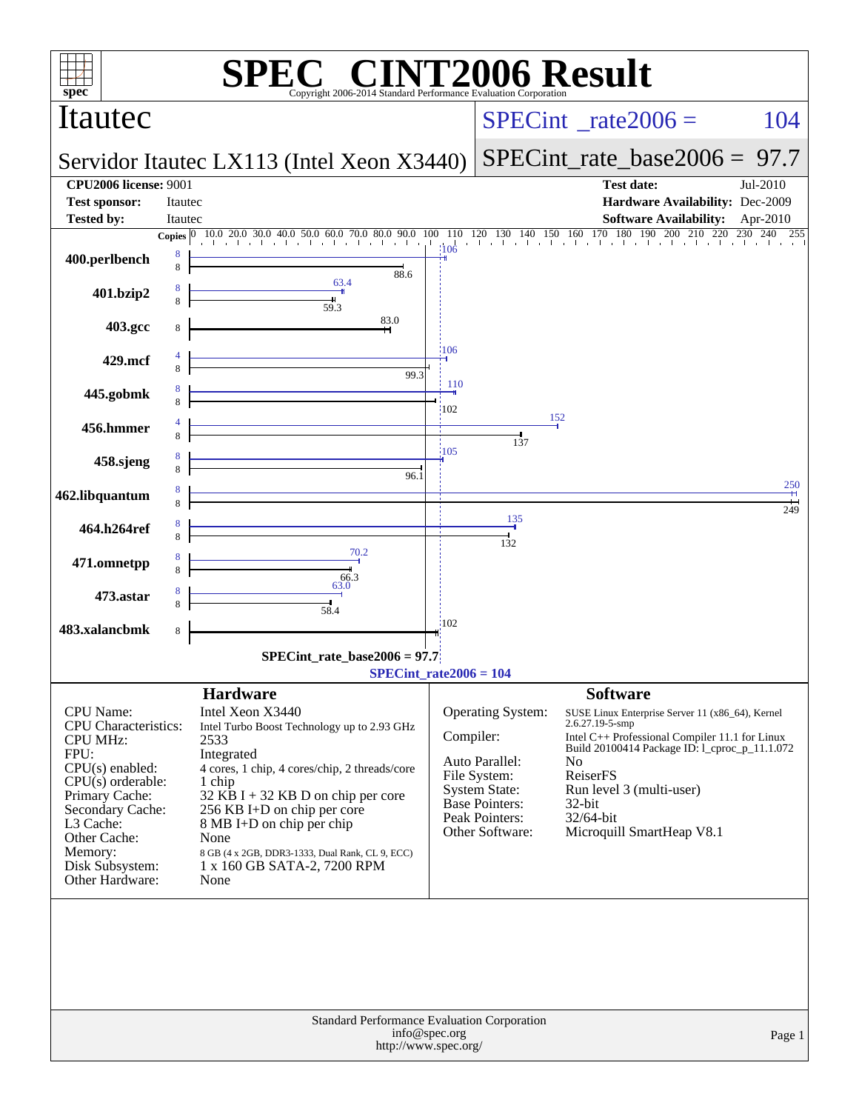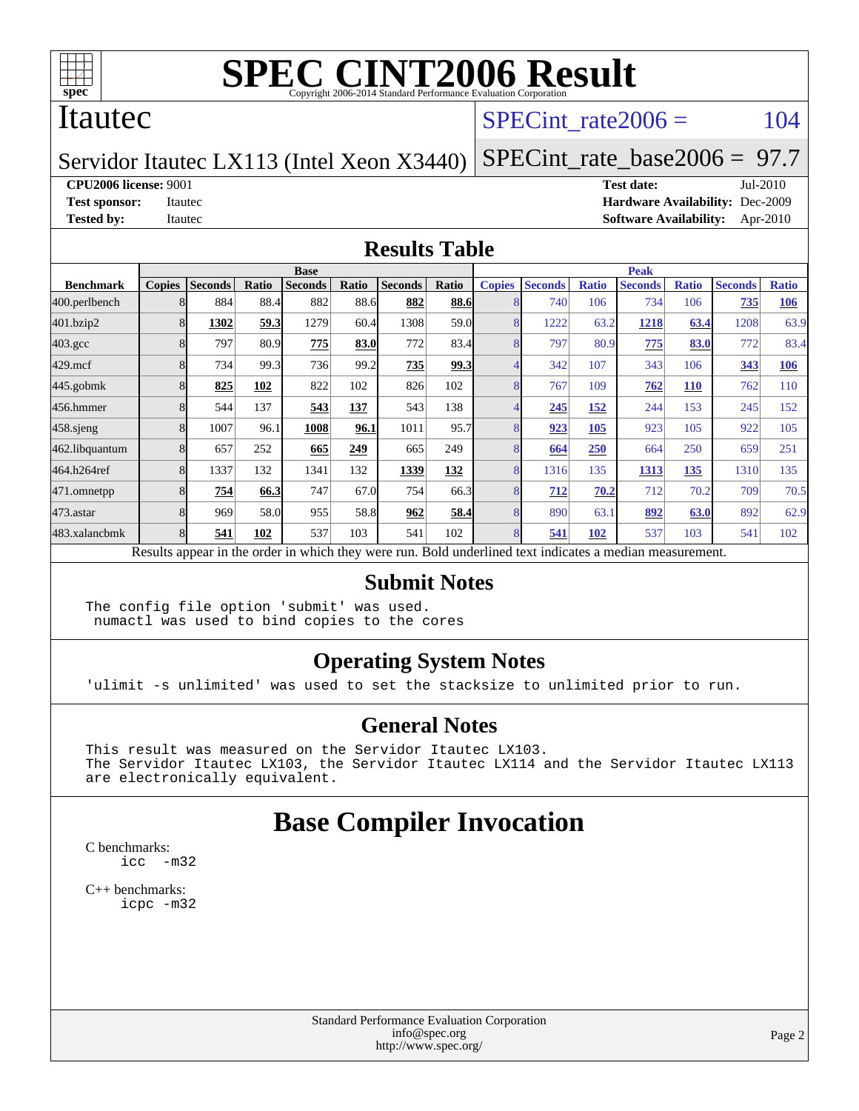

#### Itautec

SPECint rate $2006 = 104$ 

Servidor Itautec LX113 (Intel Xeon X3440) [SPECint\\_rate\\_base2006 =](http://www.spec.org/auto/cpu2006/Docs/result-fields.html#SPECintratebase2006) 97.7

**[CPU2006 license:](http://www.spec.org/auto/cpu2006/Docs/result-fields.html#CPU2006license)** 9001 **[Test date:](http://www.spec.org/auto/cpu2006/Docs/result-fields.html#Testdate)** Jul-2010

**[Test sponsor:](http://www.spec.org/auto/cpu2006/Docs/result-fields.html#Testsponsor)** Itautec **[Hardware Availability:](http://www.spec.org/auto/cpu2006/Docs/result-fields.html#HardwareAvailability)** Dec-2009 **[Tested by:](http://www.spec.org/auto/cpu2006/Docs/result-fields.html#Testedby)** Itautec **[Software Availability:](http://www.spec.org/auto/cpu2006/Docs/result-fields.html#SoftwareAvailability)** Apr-2010

#### **[Results Table](http://www.spec.org/auto/cpu2006/Docs/result-fields.html#ResultsTable)**

|                    | <b>Base</b>   |                |       |                                                                                                          |       |                |       | <b>Peak</b>   |                |              |                |              |                |              |
|--------------------|---------------|----------------|-------|----------------------------------------------------------------------------------------------------------|-------|----------------|-------|---------------|----------------|--------------|----------------|--------------|----------------|--------------|
| <b>Benchmark</b>   | <b>Copies</b> | <b>Seconds</b> | Ratio | <b>Seconds</b>                                                                                           | Ratio | <b>Seconds</b> | Ratio | <b>Copies</b> | <b>Seconds</b> | <b>Ratio</b> | <b>Seconds</b> | <b>Ratio</b> | <b>Seconds</b> | <b>Ratio</b> |
| 400.perlbench      |               | 884            | 88.4  | 882                                                                                                      | 88.6  | 882            | 88.6  |               | 740            | 106          | 734            | 106          | 735            | 106          |
| 401.bzip2          |               | 1302           | 59.3  | 1279                                                                                                     | 60.4  | 1308           | 59.0  |               | 1222           | 63.2         | 1218           | 63.4         | 1208           | 63.9         |
| $403.\mathrm{gcc}$ |               | 797            | 80.9  | 775                                                                                                      | 83.0  | 772            | 83.4  |               | 797            | 80.9         | 775            | 83.0         | 772            | 83.4         |
| $429$ .mcf         |               | 734            | 99.3  | 736                                                                                                      | 99.2  | 735            | 99.3  |               | 342            | 107          | 343            | 106          | 343            | 106          |
| $445$ .gobm $k$    |               | 825            | 102   | 822                                                                                                      | 102   | 826            | 102   |               | 767            | 109          | 762            | <b>110</b>   | 762            | 110          |
| 456.hmmer          |               | 544            | 137   | 543                                                                                                      | 137   | 543            | 138   |               | 245            | 152          | 244            | 153          | 245            | 152          |
| $458$ .sjeng       |               | 1007           | 96.1  | 1008                                                                                                     | 96.1  | 1011           | 95.7  |               | 923            | 105          | 923            | 105          | 922            | 105          |
| 462.libquantum     |               | 657            | 252   | 665                                                                                                      | 249   | 665            | 249   |               | 664            | 250          | 664            | 250          | 659            | 251          |
| 464.h264ref        |               | 1337           | 132   | 1341                                                                                                     | 132   | 1339           | 132   |               | 1316           | 135          | 1313           | 135          | 1310           | 135          |
| 471.omnetpp        |               | 754            | 66.3  | 747                                                                                                      | 67.0  | 754            | 66.3  |               | 712            | 70.2         | 712            | 70.2         | 709            | 70.5         |
| $473$ . astar      |               | 969            | 58.0  | 955                                                                                                      | 58.8  | 962            | 58.4  | 8             | 890            | 63.1         | 892            | 63.0         | 892            | 62.9         |
| 483.xalancbmk      |               | 541            | 102   | 537                                                                                                      | 103   | 541            | 102   |               | 541            | 102          | 537            | 103          | 541            | 102          |
|                    |               |                |       | Results appear in the order in which they were run. Bold underlined text indicates a median measurement. |       |                |       |               |                |              |                |              |                |              |

#### **[Submit Notes](http://www.spec.org/auto/cpu2006/Docs/result-fields.html#SubmitNotes)**

The config file option 'submit' was used. numactl was used to bind copies to the cores

#### **[Operating System Notes](http://www.spec.org/auto/cpu2006/Docs/result-fields.html#OperatingSystemNotes)**

'ulimit -s unlimited' was used to set the stacksize to unlimited prior to run.

#### **[General Notes](http://www.spec.org/auto/cpu2006/Docs/result-fields.html#GeneralNotes)**

This result was measured on the Servidor Itautec LX103. The Servidor Itautec LX103, the Servidor Itautec LX114 and the Servidor Itautec LX113 are electronically equivalent.

## **[Base Compiler Invocation](http://www.spec.org/auto/cpu2006/Docs/result-fields.html#BaseCompilerInvocation)**

[C benchmarks](http://www.spec.org/auto/cpu2006/Docs/result-fields.html#Cbenchmarks): [icc -m32](http://www.spec.org/cpu2006/results/res2010q3/cpu2006-20100712-12371.flags.html#user_CCbase_intel_icc_32bit_5ff4a39e364c98233615fdd38438c6f2)

[C++ benchmarks:](http://www.spec.org/auto/cpu2006/Docs/result-fields.html#CXXbenchmarks) [icpc -m32](http://www.spec.org/cpu2006/results/res2010q3/cpu2006-20100712-12371.flags.html#user_CXXbase_intel_icpc_32bit_4e5a5ef1a53fd332b3c49e69c3330699)

> Standard Performance Evaluation Corporation [info@spec.org](mailto:info@spec.org) <http://www.spec.org/>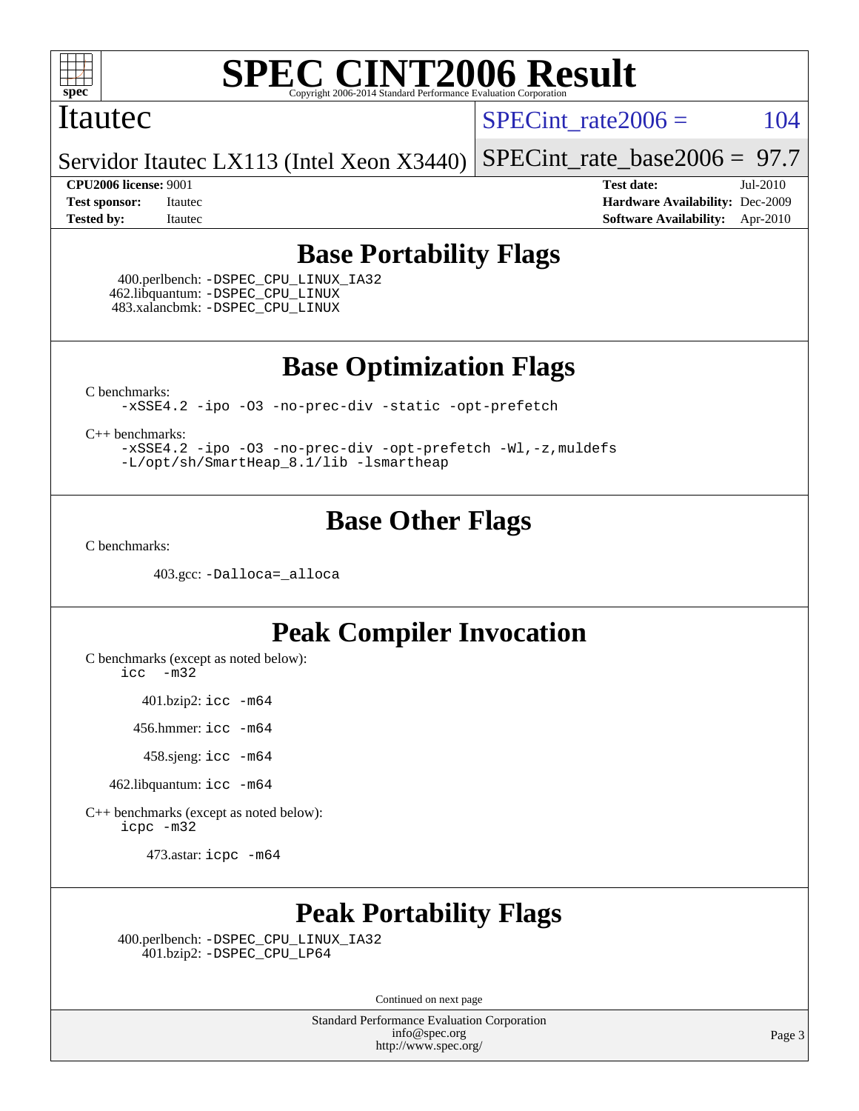

#### Itautec

SPECint rate $2006 = 104$ 

Servidor Itautec LX113 (Intel Xeon X3440) [SPECint\\_rate\\_base2006 =](http://www.spec.org/auto/cpu2006/Docs/result-fields.html#SPECintratebase2006) 97.7

**[CPU2006 license:](http://www.spec.org/auto/cpu2006/Docs/result-fields.html#CPU2006license)** 9001 **[Test date:](http://www.spec.org/auto/cpu2006/Docs/result-fields.html#Testdate)** Jul-2010 **[Test sponsor:](http://www.spec.org/auto/cpu2006/Docs/result-fields.html#Testsponsor)** Itautec **[Hardware Availability:](http://www.spec.org/auto/cpu2006/Docs/result-fields.html#HardwareAvailability)** Dec-2009 **[Tested by:](http://www.spec.org/auto/cpu2006/Docs/result-fields.html#Testedby)** Itautec **[Software Availability:](http://www.spec.org/auto/cpu2006/Docs/result-fields.html#SoftwareAvailability)** Apr-2010

## **[Base Portability Flags](http://www.spec.org/auto/cpu2006/Docs/result-fields.html#BasePortabilityFlags)**

 400.perlbench: [-DSPEC\\_CPU\\_LINUX\\_IA32](http://www.spec.org/cpu2006/results/res2010q3/cpu2006-20100712-12371.flags.html#b400.perlbench_baseCPORTABILITY_DSPEC_CPU_LINUX_IA32) 462.libquantum: [-DSPEC\\_CPU\\_LINUX](http://www.spec.org/cpu2006/results/res2010q3/cpu2006-20100712-12371.flags.html#b462.libquantum_baseCPORTABILITY_DSPEC_CPU_LINUX) 483.xalancbmk: [-DSPEC\\_CPU\\_LINUX](http://www.spec.org/cpu2006/results/res2010q3/cpu2006-20100712-12371.flags.html#b483.xalancbmk_baseCXXPORTABILITY_DSPEC_CPU_LINUX)

**[Base Optimization Flags](http://www.spec.org/auto/cpu2006/Docs/result-fields.html#BaseOptimizationFlags)**

[C benchmarks](http://www.spec.org/auto/cpu2006/Docs/result-fields.html#Cbenchmarks):

[-xSSE4.2](http://www.spec.org/cpu2006/results/res2010q3/cpu2006-20100712-12371.flags.html#user_CCbase_f-xSSE42_f91528193cf0b216347adb8b939d4107) [-ipo](http://www.spec.org/cpu2006/results/res2010q3/cpu2006-20100712-12371.flags.html#user_CCbase_f-ipo) [-O3](http://www.spec.org/cpu2006/results/res2010q3/cpu2006-20100712-12371.flags.html#user_CCbase_f-O3) [-no-prec-div](http://www.spec.org/cpu2006/results/res2010q3/cpu2006-20100712-12371.flags.html#user_CCbase_f-no-prec-div) [-static](http://www.spec.org/cpu2006/results/res2010q3/cpu2006-20100712-12371.flags.html#user_CCbase_f-static) [-opt-prefetch](http://www.spec.org/cpu2006/results/res2010q3/cpu2006-20100712-12371.flags.html#user_CCbase_f-opt-prefetch)

[C++ benchmarks:](http://www.spec.org/auto/cpu2006/Docs/result-fields.html#CXXbenchmarks)

[-xSSE4.2](http://www.spec.org/cpu2006/results/res2010q3/cpu2006-20100712-12371.flags.html#user_CXXbase_f-xSSE42_f91528193cf0b216347adb8b939d4107) [-ipo](http://www.spec.org/cpu2006/results/res2010q3/cpu2006-20100712-12371.flags.html#user_CXXbase_f-ipo) [-O3](http://www.spec.org/cpu2006/results/res2010q3/cpu2006-20100712-12371.flags.html#user_CXXbase_f-O3) [-no-prec-div](http://www.spec.org/cpu2006/results/res2010q3/cpu2006-20100712-12371.flags.html#user_CXXbase_f-no-prec-div) [-opt-prefetch](http://www.spec.org/cpu2006/results/res2010q3/cpu2006-20100712-12371.flags.html#user_CXXbase_f-opt-prefetch) [-Wl,-z,muldefs](http://www.spec.org/cpu2006/results/res2010q3/cpu2006-20100712-12371.flags.html#user_CXXbase_link_force_multiple1_74079c344b956b9658436fd1b6dd3a8a) [-L/opt/sh/SmartHeap\\_8.1/lib -lsmartheap](http://www.spec.org/cpu2006/results/res2010q3/cpu2006-20100712-12371.flags.html#user_CXXbase_SmartHeap_27b21c95f540fefa7d7530e3b3d64269)

## **[Base Other Flags](http://www.spec.org/auto/cpu2006/Docs/result-fields.html#BaseOtherFlags)**

[C benchmarks](http://www.spec.org/auto/cpu2006/Docs/result-fields.html#Cbenchmarks):

403.gcc: [-Dalloca=\\_alloca](http://www.spec.org/cpu2006/results/res2010q3/cpu2006-20100712-12371.flags.html#b403.gcc_baseEXTRA_CFLAGS_Dalloca_be3056838c12de2578596ca5467af7f3)

## **[Peak Compiler Invocation](http://www.spec.org/auto/cpu2006/Docs/result-fields.html#PeakCompilerInvocation)**

[C benchmarks \(except as noted below\)](http://www.spec.org/auto/cpu2006/Docs/result-fields.html#Cbenchmarksexceptasnotedbelow):

[icc -m32](http://www.spec.org/cpu2006/results/res2010q3/cpu2006-20100712-12371.flags.html#user_CCpeak_intel_icc_32bit_5ff4a39e364c98233615fdd38438c6f2)

401.bzip2: [icc -m64](http://www.spec.org/cpu2006/results/res2010q3/cpu2006-20100712-12371.flags.html#user_peakCCLD401_bzip2_intel_icc_64bit_bda6cc9af1fdbb0edc3795bac97ada53)

456.hmmer: [icc -m64](http://www.spec.org/cpu2006/results/res2010q3/cpu2006-20100712-12371.flags.html#user_peakCCLD456_hmmer_intel_icc_64bit_bda6cc9af1fdbb0edc3795bac97ada53)

458.sjeng: [icc -m64](http://www.spec.org/cpu2006/results/res2010q3/cpu2006-20100712-12371.flags.html#user_peakCCLD458_sjeng_intel_icc_64bit_bda6cc9af1fdbb0edc3795bac97ada53)

462.libquantum: [icc -m64](http://www.spec.org/cpu2006/results/res2010q3/cpu2006-20100712-12371.flags.html#user_peakCCLD462_libquantum_intel_icc_64bit_bda6cc9af1fdbb0edc3795bac97ada53)

[C++ benchmarks \(except as noted below\):](http://www.spec.org/auto/cpu2006/Docs/result-fields.html#CXXbenchmarksexceptasnotedbelow) [icpc -m32](http://www.spec.org/cpu2006/results/res2010q3/cpu2006-20100712-12371.flags.html#user_CXXpeak_intel_icpc_32bit_4e5a5ef1a53fd332b3c49e69c3330699)

473.astar: [icpc -m64](http://www.spec.org/cpu2006/results/res2010q3/cpu2006-20100712-12371.flags.html#user_peakCXXLD473_astar_intel_icpc_64bit_fc66a5337ce925472a5c54ad6a0de310)

# **[Peak Portability Flags](http://www.spec.org/auto/cpu2006/Docs/result-fields.html#PeakPortabilityFlags)**

 400.perlbench: [-DSPEC\\_CPU\\_LINUX\\_IA32](http://www.spec.org/cpu2006/results/res2010q3/cpu2006-20100712-12371.flags.html#b400.perlbench_peakCPORTABILITY_DSPEC_CPU_LINUX_IA32) 401.bzip2: [-DSPEC\\_CPU\\_LP64](http://www.spec.org/cpu2006/results/res2010q3/cpu2006-20100712-12371.flags.html#suite_peakCPORTABILITY401_bzip2_DSPEC_CPU_LP64)

Continued on next page

Standard Performance Evaluation Corporation [info@spec.org](mailto:info@spec.org) <http://www.spec.org/>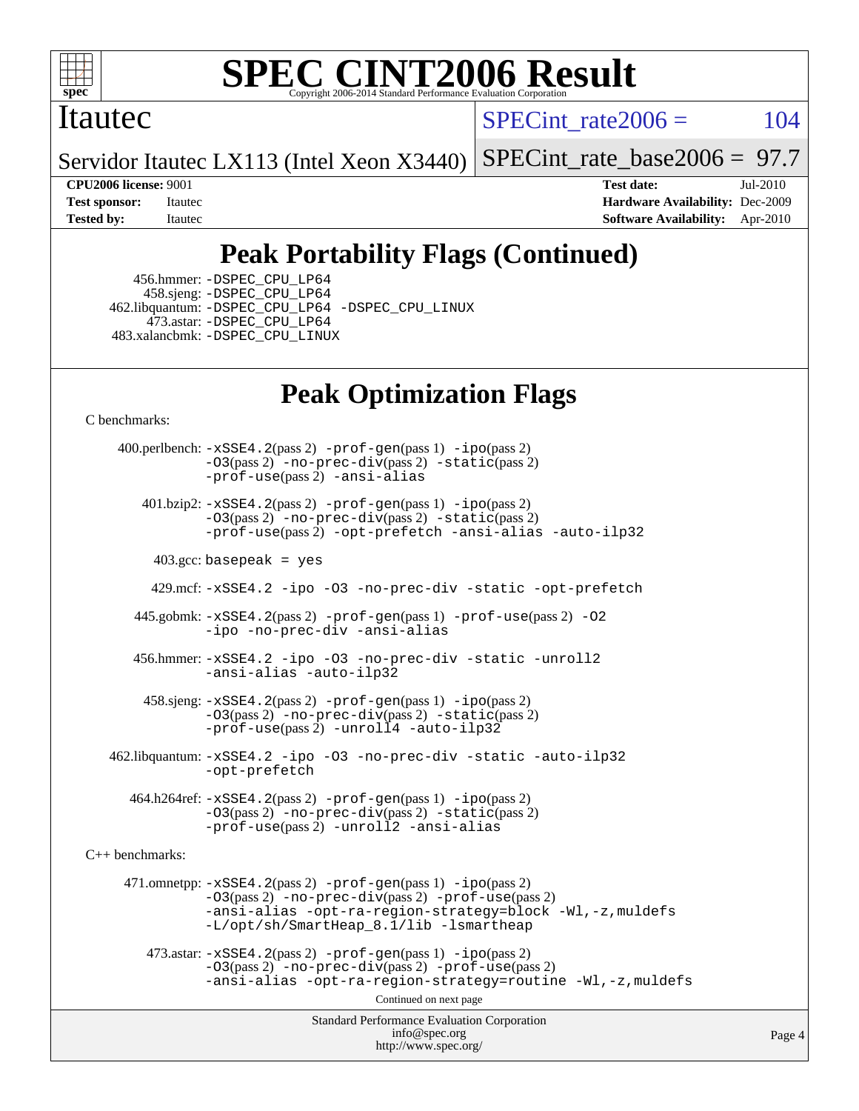

### Itautec

 $SPECint rate2006 = 104$ 

Servidor Itautec LX113 (Intel Xeon X3440) [SPECint\\_rate\\_base2006 =](http://www.spec.org/auto/cpu2006/Docs/result-fields.html#SPECintratebase2006) 97.7

**[CPU2006 license:](http://www.spec.org/auto/cpu2006/Docs/result-fields.html#CPU2006license)** 9001 **[Test date:](http://www.spec.org/auto/cpu2006/Docs/result-fields.html#Testdate)** Jul-2010 **[Test sponsor:](http://www.spec.org/auto/cpu2006/Docs/result-fields.html#Testsponsor)** Itautec **[Hardware Availability:](http://www.spec.org/auto/cpu2006/Docs/result-fields.html#HardwareAvailability)** Dec-2009 **[Tested by:](http://www.spec.org/auto/cpu2006/Docs/result-fields.html#Testedby)** Itautec **[Software Availability:](http://www.spec.org/auto/cpu2006/Docs/result-fields.html#SoftwareAvailability)** Apr-2010

# **[Peak Portability Flags \(Continued\)](http://www.spec.org/auto/cpu2006/Docs/result-fields.html#PeakPortabilityFlags)**

 456.hmmer: [-DSPEC\\_CPU\\_LP64](http://www.spec.org/cpu2006/results/res2010q3/cpu2006-20100712-12371.flags.html#suite_peakCPORTABILITY456_hmmer_DSPEC_CPU_LP64) 458.sjeng: [-DSPEC\\_CPU\\_LP64](http://www.spec.org/cpu2006/results/res2010q3/cpu2006-20100712-12371.flags.html#suite_peakCPORTABILITY458_sjeng_DSPEC_CPU_LP64) 462.libquantum: [-DSPEC\\_CPU\\_LP64](http://www.spec.org/cpu2006/results/res2010q3/cpu2006-20100712-12371.flags.html#suite_peakCPORTABILITY462_libquantum_DSPEC_CPU_LP64) [-DSPEC\\_CPU\\_LINUX](http://www.spec.org/cpu2006/results/res2010q3/cpu2006-20100712-12371.flags.html#b462.libquantum_peakCPORTABILITY_DSPEC_CPU_LINUX) 473.astar: [-DSPEC\\_CPU\\_LP64](http://www.spec.org/cpu2006/results/res2010q3/cpu2006-20100712-12371.flags.html#suite_peakCXXPORTABILITY473_astar_DSPEC_CPU_LP64) 483.xalancbmk: [-DSPEC\\_CPU\\_LINUX](http://www.spec.org/cpu2006/results/res2010q3/cpu2006-20100712-12371.flags.html#b483.xalancbmk_peakCXXPORTABILITY_DSPEC_CPU_LINUX)

# **[Peak Optimization Flags](http://www.spec.org/auto/cpu2006/Docs/result-fields.html#PeakOptimizationFlags)**

[C benchmarks](http://www.spec.org/auto/cpu2006/Docs/result-fields.html#Cbenchmarks):

Standard Performance Evaluation Corporation [info@spec.org](mailto:info@spec.org) <http://www.spec.org/> Page 4 400.perlbench: [-xSSE4.2](http://www.spec.org/cpu2006/results/res2010q3/cpu2006-20100712-12371.flags.html#user_peakPASS2_CFLAGSPASS2_LDCFLAGS400_perlbench_f-xSSE42_f91528193cf0b216347adb8b939d4107)(pass 2) [-prof-gen](http://www.spec.org/cpu2006/results/res2010q3/cpu2006-20100712-12371.flags.html#user_peakPASS1_CFLAGSPASS1_LDCFLAGS400_perlbench_prof_gen_e43856698f6ca7b7e442dfd80e94a8fc)(pass 1) [-ipo](http://www.spec.org/cpu2006/results/res2010q3/cpu2006-20100712-12371.flags.html#user_peakPASS2_CFLAGSPASS2_LDCFLAGS400_perlbench_f-ipo)(pass 2) [-O3](http://www.spec.org/cpu2006/results/res2010q3/cpu2006-20100712-12371.flags.html#user_peakPASS2_CFLAGSPASS2_LDCFLAGS400_perlbench_f-O3)(pass 2) [-no-prec-div](http://www.spec.org/cpu2006/results/res2010q3/cpu2006-20100712-12371.flags.html#user_peakPASS2_CFLAGSPASS2_LDCFLAGS400_perlbench_f-no-prec-div)(pass 2) [-static](http://www.spec.org/cpu2006/results/res2010q3/cpu2006-20100712-12371.flags.html#user_peakPASS2_CFLAGSPASS2_LDCFLAGS400_perlbench_f-static)(pass 2) [-prof-use](http://www.spec.org/cpu2006/results/res2010q3/cpu2006-20100712-12371.flags.html#user_peakPASS2_CFLAGSPASS2_LDCFLAGS400_perlbench_prof_use_bccf7792157ff70d64e32fe3e1250b55)(pass 2) [-ansi-alias](http://www.spec.org/cpu2006/results/res2010q3/cpu2006-20100712-12371.flags.html#user_peakCOPTIMIZE400_perlbench_f-ansi-alias) 401.bzip2: [-xSSE4.2](http://www.spec.org/cpu2006/results/res2010q3/cpu2006-20100712-12371.flags.html#user_peakPASS2_CFLAGSPASS2_LDCFLAGS401_bzip2_f-xSSE42_f91528193cf0b216347adb8b939d4107)(pass 2) [-prof-gen](http://www.spec.org/cpu2006/results/res2010q3/cpu2006-20100712-12371.flags.html#user_peakPASS1_CFLAGSPASS1_LDCFLAGS401_bzip2_prof_gen_e43856698f6ca7b7e442dfd80e94a8fc)(pass 1) [-ipo](http://www.spec.org/cpu2006/results/res2010q3/cpu2006-20100712-12371.flags.html#user_peakPASS2_CFLAGSPASS2_LDCFLAGS401_bzip2_f-ipo)(pass 2) [-O3](http://www.spec.org/cpu2006/results/res2010q3/cpu2006-20100712-12371.flags.html#user_peakPASS2_CFLAGSPASS2_LDCFLAGS401_bzip2_f-O3)(pass 2) [-no-prec-div](http://www.spec.org/cpu2006/results/res2010q3/cpu2006-20100712-12371.flags.html#user_peakPASS2_CFLAGSPASS2_LDCFLAGS401_bzip2_f-no-prec-div)(pass 2) [-static](http://www.spec.org/cpu2006/results/res2010q3/cpu2006-20100712-12371.flags.html#user_peakPASS2_CFLAGSPASS2_LDCFLAGS401_bzip2_f-static)(pass 2) [-prof-use](http://www.spec.org/cpu2006/results/res2010q3/cpu2006-20100712-12371.flags.html#user_peakPASS2_CFLAGSPASS2_LDCFLAGS401_bzip2_prof_use_bccf7792157ff70d64e32fe3e1250b55)(pass 2) [-opt-prefetch](http://www.spec.org/cpu2006/results/res2010q3/cpu2006-20100712-12371.flags.html#user_peakCOPTIMIZE401_bzip2_f-opt-prefetch) [-ansi-alias](http://www.spec.org/cpu2006/results/res2010q3/cpu2006-20100712-12371.flags.html#user_peakCOPTIMIZE401_bzip2_f-ansi-alias) [-auto-ilp32](http://www.spec.org/cpu2006/results/res2010q3/cpu2006-20100712-12371.flags.html#user_peakCOPTIMIZE401_bzip2_f-auto-ilp32)  $403.\text{gcc: basepeak}$  = yes 429.mcf: [-xSSE4.2](http://www.spec.org/cpu2006/results/res2010q3/cpu2006-20100712-12371.flags.html#user_peakCOPTIMIZE429_mcf_f-xSSE42_f91528193cf0b216347adb8b939d4107) [-ipo](http://www.spec.org/cpu2006/results/res2010q3/cpu2006-20100712-12371.flags.html#user_peakCOPTIMIZE429_mcf_f-ipo) [-O3](http://www.spec.org/cpu2006/results/res2010q3/cpu2006-20100712-12371.flags.html#user_peakCOPTIMIZE429_mcf_f-O3) [-no-prec-div](http://www.spec.org/cpu2006/results/res2010q3/cpu2006-20100712-12371.flags.html#user_peakCOPTIMIZE429_mcf_f-no-prec-div) [-static](http://www.spec.org/cpu2006/results/res2010q3/cpu2006-20100712-12371.flags.html#user_peakCOPTIMIZE429_mcf_f-static) [-opt-prefetch](http://www.spec.org/cpu2006/results/res2010q3/cpu2006-20100712-12371.flags.html#user_peakCOPTIMIZE429_mcf_f-opt-prefetch) 445.gobmk: [-xSSE4.2](http://www.spec.org/cpu2006/results/res2010q3/cpu2006-20100712-12371.flags.html#user_peakPASS2_CFLAGSPASS2_LDCFLAGS445_gobmk_f-xSSE42_f91528193cf0b216347adb8b939d4107)(pass 2) [-prof-gen](http://www.spec.org/cpu2006/results/res2010q3/cpu2006-20100712-12371.flags.html#user_peakPASS1_CFLAGSPASS1_LDCFLAGS445_gobmk_prof_gen_e43856698f6ca7b7e442dfd80e94a8fc)(pass 1) [-prof-use](http://www.spec.org/cpu2006/results/res2010q3/cpu2006-20100712-12371.flags.html#user_peakPASS2_CFLAGSPASS2_LDCFLAGS445_gobmk_prof_use_bccf7792157ff70d64e32fe3e1250b55)(pass 2) [-O2](http://www.spec.org/cpu2006/results/res2010q3/cpu2006-20100712-12371.flags.html#user_peakCOPTIMIZE445_gobmk_f-O2) [-ipo](http://www.spec.org/cpu2006/results/res2010q3/cpu2006-20100712-12371.flags.html#user_peakCOPTIMIZE445_gobmk_f-ipo) [-no-prec-div](http://www.spec.org/cpu2006/results/res2010q3/cpu2006-20100712-12371.flags.html#user_peakCOPTIMIZE445_gobmk_f-no-prec-div) [-ansi-alias](http://www.spec.org/cpu2006/results/res2010q3/cpu2006-20100712-12371.flags.html#user_peakCOPTIMIZE445_gobmk_f-ansi-alias) 456.hmmer: [-xSSE4.2](http://www.spec.org/cpu2006/results/res2010q3/cpu2006-20100712-12371.flags.html#user_peakCOPTIMIZE456_hmmer_f-xSSE42_f91528193cf0b216347adb8b939d4107) [-ipo](http://www.spec.org/cpu2006/results/res2010q3/cpu2006-20100712-12371.flags.html#user_peakCOPTIMIZE456_hmmer_f-ipo) [-O3](http://www.spec.org/cpu2006/results/res2010q3/cpu2006-20100712-12371.flags.html#user_peakCOPTIMIZE456_hmmer_f-O3) [-no-prec-div](http://www.spec.org/cpu2006/results/res2010q3/cpu2006-20100712-12371.flags.html#user_peakCOPTIMIZE456_hmmer_f-no-prec-div) [-static](http://www.spec.org/cpu2006/results/res2010q3/cpu2006-20100712-12371.flags.html#user_peakCOPTIMIZE456_hmmer_f-static) [-unroll2](http://www.spec.org/cpu2006/results/res2010q3/cpu2006-20100712-12371.flags.html#user_peakCOPTIMIZE456_hmmer_f-unroll_784dae83bebfb236979b41d2422d7ec2) [-ansi-alias](http://www.spec.org/cpu2006/results/res2010q3/cpu2006-20100712-12371.flags.html#user_peakCOPTIMIZE456_hmmer_f-ansi-alias) [-auto-ilp32](http://www.spec.org/cpu2006/results/res2010q3/cpu2006-20100712-12371.flags.html#user_peakCOPTIMIZE456_hmmer_f-auto-ilp32) 458.sjeng: [-xSSE4.2](http://www.spec.org/cpu2006/results/res2010q3/cpu2006-20100712-12371.flags.html#user_peakPASS2_CFLAGSPASS2_LDCFLAGS458_sjeng_f-xSSE42_f91528193cf0b216347adb8b939d4107)(pass 2) [-prof-gen](http://www.spec.org/cpu2006/results/res2010q3/cpu2006-20100712-12371.flags.html#user_peakPASS1_CFLAGSPASS1_LDCFLAGS458_sjeng_prof_gen_e43856698f6ca7b7e442dfd80e94a8fc)(pass 1) [-ipo](http://www.spec.org/cpu2006/results/res2010q3/cpu2006-20100712-12371.flags.html#user_peakPASS2_CFLAGSPASS2_LDCFLAGS458_sjeng_f-ipo)(pass 2) [-O3](http://www.spec.org/cpu2006/results/res2010q3/cpu2006-20100712-12371.flags.html#user_peakPASS2_CFLAGSPASS2_LDCFLAGS458_sjeng_f-O3)(pass 2) [-no-prec-div](http://www.spec.org/cpu2006/results/res2010q3/cpu2006-20100712-12371.flags.html#user_peakPASS2_CFLAGSPASS2_LDCFLAGS458_sjeng_f-no-prec-div)(pass 2) [-static](http://www.spec.org/cpu2006/results/res2010q3/cpu2006-20100712-12371.flags.html#user_peakPASS2_CFLAGSPASS2_LDCFLAGS458_sjeng_f-static)(pass 2) [-prof-use](http://www.spec.org/cpu2006/results/res2010q3/cpu2006-20100712-12371.flags.html#user_peakPASS2_CFLAGSPASS2_LDCFLAGS458_sjeng_prof_use_bccf7792157ff70d64e32fe3e1250b55)(pass 2) [-unroll4](http://www.spec.org/cpu2006/results/res2010q3/cpu2006-20100712-12371.flags.html#user_peakCOPTIMIZE458_sjeng_f-unroll_4e5e4ed65b7fd20bdcd365bec371b81f) [-auto-ilp32](http://www.spec.org/cpu2006/results/res2010q3/cpu2006-20100712-12371.flags.html#user_peakCOPTIMIZE458_sjeng_f-auto-ilp32) 462.libquantum: [-xSSE4.2](http://www.spec.org/cpu2006/results/res2010q3/cpu2006-20100712-12371.flags.html#user_peakCOPTIMIZE462_libquantum_f-xSSE42_f91528193cf0b216347adb8b939d4107) [-ipo](http://www.spec.org/cpu2006/results/res2010q3/cpu2006-20100712-12371.flags.html#user_peakCOPTIMIZE462_libquantum_f-ipo) [-O3](http://www.spec.org/cpu2006/results/res2010q3/cpu2006-20100712-12371.flags.html#user_peakCOPTIMIZE462_libquantum_f-O3) [-no-prec-div](http://www.spec.org/cpu2006/results/res2010q3/cpu2006-20100712-12371.flags.html#user_peakCOPTIMIZE462_libquantum_f-no-prec-div) [-static](http://www.spec.org/cpu2006/results/res2010q3/cpu2006-20100712-12371.flags.html#user_peakCOPTIMIZE462_libquantum_f-static) [-auto-ilp32](http://www.spec.org/cpu2006/results/res2010q3/cpu2006-20100712-12371.flags.html#user_peakCOPTIMIZE462_libquantum_f-auto-ilp32) [-opt-prefetch](http://www.spec.org/cpu2006/results/res2010q3/cpu2006-20100712-12371.flags.html#user_peakCOPTIMIZE462_libquantum_f-opt-prefetch) 464.h264ref: [-xSSE4.2](http://www.spec.org/cpu2006/results/res2010q3/cpu2006-20100712-12371.flags.html#user_peakPASS2_CFLAGSPASS2_LDCFLAGS464_h264ref_f-xSSE42_f91528193cf0b216347adb8b939d4107)(pass 2) [-prof-gen](http://www.spec.org/cpu2006/results/res2010q3/cpu2006-20100712-12371.flags.html#user_peakPASS1_CFLAGSPASS1_LDCFLAGS464_h264ref_prof_gen_e43856698f6ca7b7e442dfd80e94a8fc)(pass 1) [-ipo](http://www.spec.org/cpu2006/results/res2010q3/cpu2006-20100712-12371.flags.html#user_peakPASS2_CFLAGSPASS2_LDCFLAGS464_h264ref_f-ipo)(pass 2) [-O3](http://www.spec.org/cpu2006/results/res2010q3/cpu2006-20100712-12371.flags.html#user_peakPASS2_CFLAGSPASS2_LDCFLAGS464_h264ref_f-O3)(pass 2) [-no-prec-div](http://www.spec.org/cpu2006/results/res2010q3/cpu2006-20100712-12371.flags.html#user_peakPASS2_CFLAGSPASS2_LDCFLAGS464_h264ref_f-no-prec-div)(pass 2) [-static](http://www.spec.org/cpu2006/results/res2010q3/cpu2006-20100712-12371.flags.html#user_peakPASS2_CFLAGSPASS2_LDCFLAGS464_h264ref_f-static)(pass 2) [-prof-use](http://www.spec.org/cpu2006/results/res2010q3/cpu2006-20100712-12371.flags.html#user_peakPASS2_CFLAGSPASS2_LDCFLAGS464_h264ref_prof_use_bccf7792157ff70d64e32fe3e1250b55)(pass 2) [-unroll2](http://www.spec.org/cpu2006/results/res2010q3/cpu2006-20100712-12371.flags.html#user_peakCOPTIMIZE464_h264ref_f-unroll_784dae83bebfb236979b41d2422d7ec2) [-ansi-alias](http://www.spec.org/cpu2006/results/res2010q3/cpu2006-20100712-12371.flags.html#user_peakCOPTIMIZE464_h264ref_f-ansi-alias) [C++ benchmarks:](http://www.spec.org/auto/cpu2006/Docs/result-fields.html#CXXbenchmarks) 471.omnetpp: [-xSSE4.2](http://www.spec.org/cpu2006/results/res2010q3/cpu2006-20100712-12371.flags.html#user_peakPASS2_CXXFLAGSPASS2_LDCXXFLAGS471_omnetpp_f-xSSE42_f91528193cf0b216347adb8b939d4107)(pass 2) [-prof-gen](http://www.spec.org/cpu2006/results/res2010q3/cpu2006-20100712-12371.flags.html#user_peakPASS1_CXXFLAGSPASS1_LDCXXFLAGS471_omnetpp_prof_gen_e43856698f6ca7b7e442dfd80e94a8fc)(pass 1) [-ipo](http://www.spec.org/cpu2006/results/res2010q3/cpu2006-20100712-12371.flags.html#user_peakPASS2_CXXFLAGSPASS2_LDCXXFLAGS471_omnetpp_f-ipo)(pass 2) [-O3](http://www.spec.org/cpu2006/results/res2010q3/cpu2006-20100712-12371.flags.html#user_peakPASS2_CXXFLAGSPASS2_LDCXXFLAGS471_omnetpp_f-O3)(pass 2) [-no-prec-div](http://www.spec.org/cpu2006/results/res2010q3/cpu2006-20100712-12371.flags.html#user_peakPASS2_CXXFLAGSPASS2_LDCXXFLAGS471_omnetpp_f-no-prec-div)(pass 2) [-prof-use](http://www.spec.org/cpu2006/results/res2010q3/cpu2006-20100712-12371.flags.html#user_peakPASS2_CXXFLAGSPASS2_LDCXXFLAGS471_omnetpp_prof_use_bccf7792157ff70d64e32fe3e1250b55)(pass 2) [-ansi-alias](http://www.spec.org/cpu2006/results/res2010q3/cpu2006-20100712-12371.flags.html#user_peakCXXOPTIMIZE471_omnetpp_f-ansi-alias) [-opt-ra-region-strategy=block](http://www.spec.org/cpu2006/results/res2010q3/cpu2006-20100712-12371.flags.html#user_peakCXXOPTIMIZE471_omnetpp_f-opt-ra-region-strategy-block_a0a37c372d03933b2a18d4af463c1f69) [-Wl,-z,muldefs](http://www.spec.org/cpu2006/results/res2010q3/cpu2006-20100712-12371.flags.html#user_peakEXTRA_LDFLAGS471_omnetpp_link_force_multiple1_74079c344b956b9658436fd1b6dd3a8a) [-L/opt/sh/SmartHeap\\_8.1/lib -lsmartheap](http://www.spec.org/cpu2006/results/res2010q3/cpu2006-20100712-12371.flags.html#user_peakEXTRA_LIBS471_omnetpp_SmartHeap_27b21c95f540fefa7d7530e3b3d64269)  $473.\text{astar: } -xSSE4$ .  $2(\text{pass 2})$   $-\text{prof-gen}(\text{pass 1})$   $-i\text{po}(\text{pass 2})$ [-O3](http://www.spec.org/cpu2006/results/res2010q3/cpu2006-20100712-12371.flags.html#user_peakPASS2_CXXFLAGSPASS2_LDCXXFLAGS473_astar_f-O3)(pass 2) [-no-prec-div](http://www.spec.org/cpu2006/results/res2010q3/cpu2006-20100712-12371.flags.html#user_peakPASS2_CXXFLAGSPASS2_LDCXXFLAGS473_astar_f-no-prec-div)(pass 2) [-prof-use](http://www.spec.org/cpu2006/results/res2010q3/cpu2006-20100712-12371.flags.html#user_peakPASS2_CXXFLAGSPASS2_LDCXXFLAGS473_astar_prof_use_bccf7792157ff70d64e32fe3e1250b55)(pass 2) [-ansi-alias](http://www.spec.org/cpu2006/results/res2010q3/cpu2006-20100712-12371.flags.html#user_peakCXXOPTIMIZE473_astar_f-ansi-alias) [-opt-ra-region-strategy=routine](http://www.spec.org/cpu2006/results/res2010q3/cpu2006-20100712-12371.flags.html#user_peakCXXOPTIMIZE473_astar_f-opt-ra-region-strategy-routine_ba086ea3b1d46a52e1238e2ca173ed44) [-Wl,-z,muldefs](http://www.spec.org/cpu2006/results/res2010q3/cpu2006-20100712-12371.flags.html#user_peakEXTRA_LDFLAGS473_astar_link_force_multiple1_74079c344b956b9658436fd1b6dd3a8a) Continued on next page